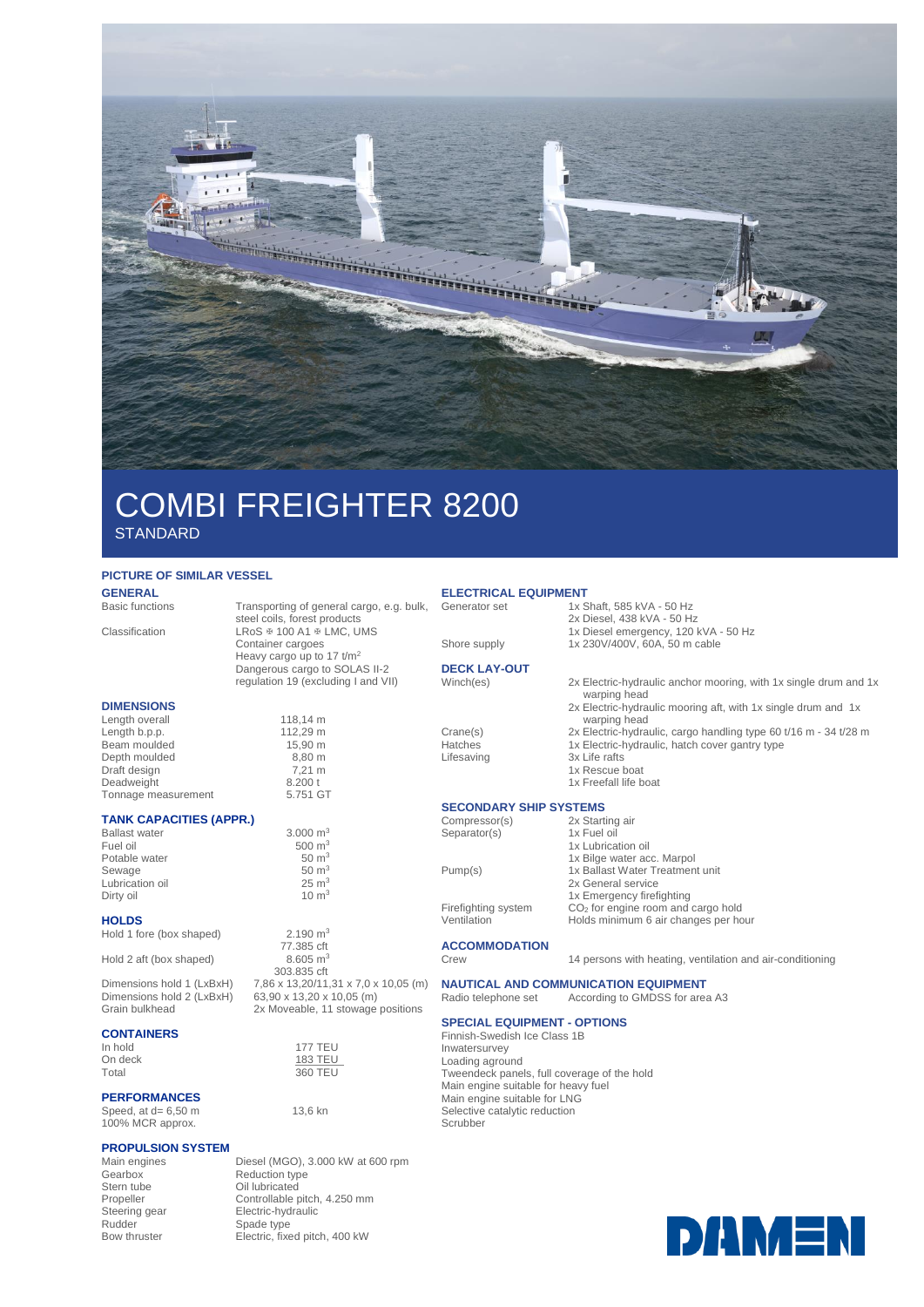

# COMBI FREIGHTER 8200 **STANDARD**

#### **PICTURE OF SIMILAR VESSEL**

| <b>GENERAL</b>         |
|------------------------|
| <b>Basic functions</b> |

Transporting of general cargo, e.g. bulk, steel coils, forest products Classification LRoS  $\text{\#}$  100 A1  $\text{\#}$  LMC, UMS Container cargoes Heavy cargo up to 17 t/m<sup>2</sup> Dangerous cargo to SOLAS II-2 regulation 19 (excluding I and VII) **DIMENSIONS** Length overall 118,14 m<br>
Length b.p.p. 112,29 m Length b.p.p.<br>Beam moulded 15.90 m Beam moulded 15,90 m<br>Depth moulded 8,80 m Depth moulded 8,80 m<br>Draft design 7,21 m Draft design 7,21 m<br>
Deadweight 8.200 t<br>
Tonnage measurement 5.751 GT Deadweight Tonnage measurement

### **TANK CAPACITIES (APPR.)**

Ballast water  $\frac{3.000 \text{ m}^3}{500 \text{ m}^3}$  $500 \text{ m}^3$ <br> $50 \text{ m}^3$ Potable water  $50 \text{ m}^3$ <br>Sewage  $50 \text{ m}^3$ Sewage 50 m<sup>3</sup><br>Lubrication oil 55 m<sup>3</sup> m<sup>3</sup> Lubrication oil Dirty oil 10 m<sup>3</sup>

#### **HOLDS**

| Hold 1 fore (box shaped) |  |  |  |  |  |  |
|--------------------------|--|--|--|--|--|--|
|--------------------------|--|--|--|--|--|--|

Hold 2 aft (box shaped)

Dimensions hold 1 (LxBxH) 7,86 x 13,20/11,31 x 7,0 x 10,05 (m)<br>Dimensions hold 2 (LxBxH) 63,90 x 13,20 x 10,05 (m) Dimensions hold 2  $(LxBxH)$ <br>Grain bulkbead

## **CONTAINERS**

On deck Total 360 TEU

### **PERFORMANCES**

Speed, at  $d= 6,50$  m 100% MCR approx.

# **PROPULSION SYSTEM**

Main engines<br>
Main engines<br>
Diesel (MGO), 3.000 kW at 600 rpm<br>
Geathox<br>
Reduction type Reduction type Stern tube <br>
Propeller Controllable b<br>
Controllable b Propeller Controllable pitch, 4.250 mm<br>Steering gear Electric-hydraulic Steering gear Electric-hydraulic<br>
Rudder Spade type Rudder Spade type<br>
Bow thruster<br>
Electric, fixe Electric, fixed pitch, 400 kW

 $2.190 \text{ m}^3$ 77.385 cft<br>8.605 m<sup>3</sup>

303.835 cft

2x Moveable, 11 stowage positions

177 TEU<br>183 TEU

13,6 kn

## **ELECTRICAL EQUIPMENT**<br>Generator set 1x S

- –...<br>1x Shaft, 585 kVA 50 Hz
	- 2x Diesel, 438 kVA 50 Hz
		- 1x Diesel emergency, 120 kVA 50 Hz
- Shore supply 1x 230V/400V, 60A, 50 m cable

**DECK LAY-OUT** Winch(es) 2x Electric-hydraulic anchor mooring, with 1x single drum and 1x

Crane(s) 2x Electric-hydraulic, cargo handling type 60 t/16 m - 34 t/28 m<br>
Hatches 1x Electric-hydraulic, hatch cover gantry type Hatches 1x Electric-hydraulic, hatch cover gantry type<br>Lifesaving 3x Life rafts

3x Life rafts 1x Rescue boat

warping head

warping head

1x Freefall life boat

**ACCOMMODATION**

14 persons with heating, ventilation and air-conditioning

#### **NAUTICAL AND COMMUNICATION EQUIPMENT**<br>Radio telephone set According to GMDSS for area According to GMDSS for area A3

## **SPECIAL EQUIPMENT - OPTIONS**

Finnish-Swedish Ice Class 1B Inwatersurvey Loading aground Tweendeck panels, full coverage of the hold Main engine suitable for heavy fuel Main engine suitable for LNG Selective catalytic reduction Scrubber



**SECONDARY SHIP SYSTEMS**<br>Compressor(s) 2x Starting air Compressor(s) 2x Starting air Separator(s) 1x Fuel oil 1x Lubrication oil 1x Bilge water acc. Marpol Pump(s) 1x Ballast Water Treatment unit

2x General service 1x Emergency firefighting Firefighting system CO<sub>2</sub> for engine room and cargo hold<br>Ventilation Holds minimum 6 air changes per ho Holds minimum 6 air changes per hour

2x Electric-hydraulic mooring aft, with 1x single drum and 1x